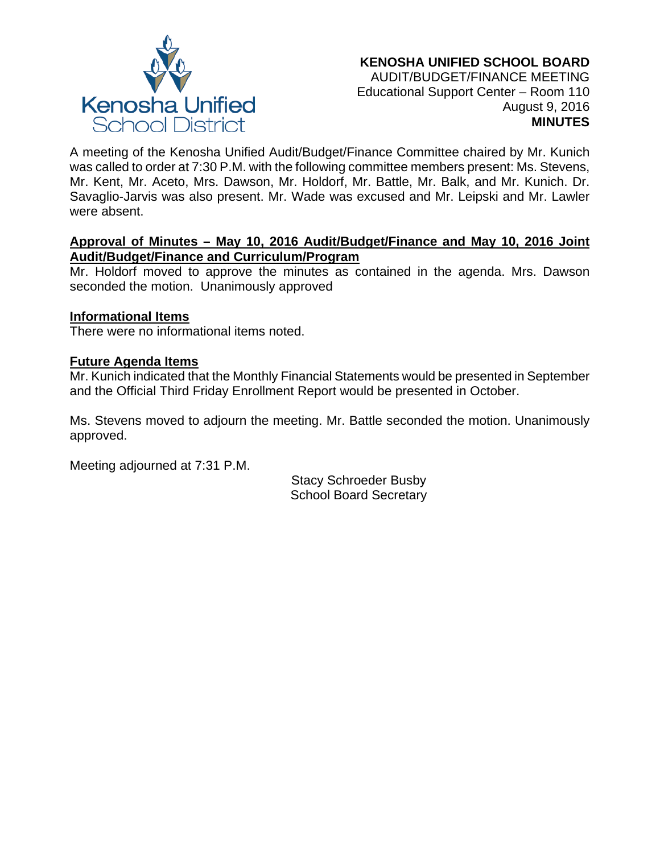

A meeting of the Kenosha Unified Audit/Budget/Finance Committee chaired by Mr. Kunich was called to order at 7:30 P.M. with the following committee members present: Ms. Stevens, Mr. Kent, Mr. Aceto, Mrs. Dawson, Mr. Holdorf, Mr. Battle, Mr. Balk, and Mr. Kunich. Dr. Savaglio-Jarvis was also present. Mr. Wade was excused and Mr. Leipski and Mr. Lawler were absent.

## **Approval of Minutes – May 10, 2016 Audit/Budget/Finance and May 10, 2016 Joint Audit/Budget/Finance and Curriculum/Program**

Mr. Holdorf moved to approve the minutes as contained in the agenda. Mrs. Dawson seconded the motion. Unanimously approved

# **Informational Items**

There were no informational items noted.

# **Future Agenda Items**

Mr. Kunich indicated that the Monthly Financial Statements would be presented in September and the Official Third Friday Enrollment Report would be presented in October.

Ms. Stevens moved to adjourn the meeting. Mr. Battle seconded the motion. Unanimously approved.

Meeting adjourned at 7:31 P.M.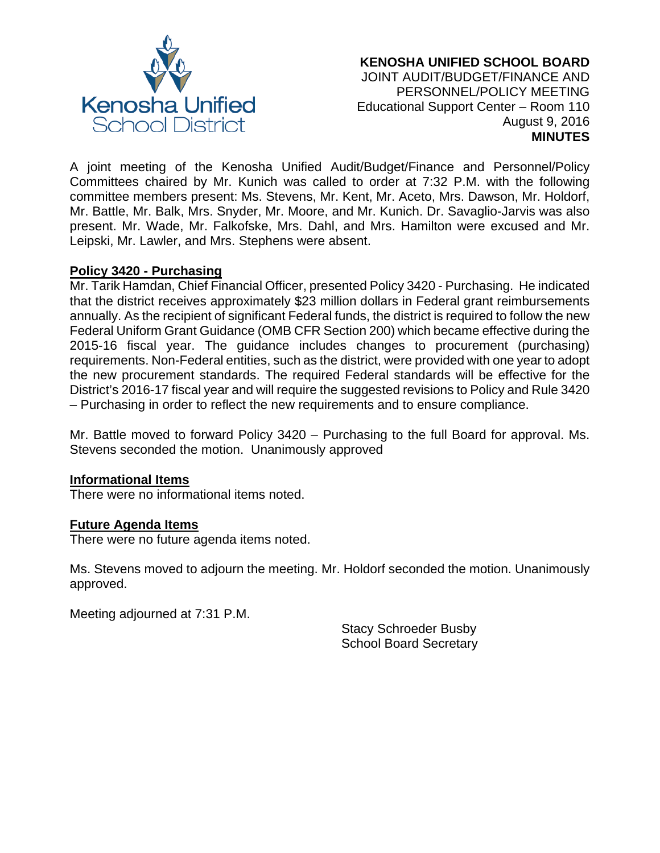

### **KENOSHA UNIFIED SCHOOL BOARD** JOINT AUDIT/BUDGET/FINANCE AND PERSONNEL/POLICY MEETING Educational Support Center – Room 110 August 9, 2016 **MINUTES**

A joint meeting of the Kenosha Unified Audit/Budget/Finance and Personnel/Policy Committees chaired by Mr. Kunich was called to order at 7:32 P.M. with the following committee members present: Ms. Stevens, Mr. Kent, Mr. Aceto, Mrs. Dawson, Mr. Holdorf, Mr. Battle, Mr. Balk, Mrs. Snyder, Mr. Moore, and Mr. Kunich. Dr. Savaglio-Jarvis was also present. Mr. Wade, Mr. Falkofske, Mrs. Dahl, and Mrs. Hamilton were excused and Mr. Leipski, Mr. Lawler, and Mrs. Stephens were absent.

## **Policy 3420 - Purchasing**

Mr. Tarik Hamdan, Chief Financial Officer, presented Policy 3420 - Purchasing. He indicated that the district receives approximately \$23 million dollars in Federal grant reimbursements annually. As the recipient of significant Federal funds, the district is required to follow the new Federal Uniform Grant Guidance (OMB CFR Section 200) which became effective during the 2015-16 fiscal year. The guidance includes changes to procurement (purchasing) requirements. Non-Federal entities, such as the district, were provided with one year to adopt the new procurement standards. The required Federal standards will be effective for the District's 2016-17 fiscal year and will require the suggested revisions to Policy and Rule 3420 – Purchasing in order to reflect the new requirements and to ensure compliance.

Mr. Battle moved to forward Policy 3420 – Purchasing to the full Board for approval. Ms. Stevens seconded the motion. Unanimously approved

## **Informational Items**

There were no informational items noted.

#### **Future Agenda Items**

There were no future agenda items noted.

Ms. Stevens moved to adjourn the meeting. Mr. Holdorf seconded the motion. Unanimously approved.

Meeting adjourned at 7:31 P.M.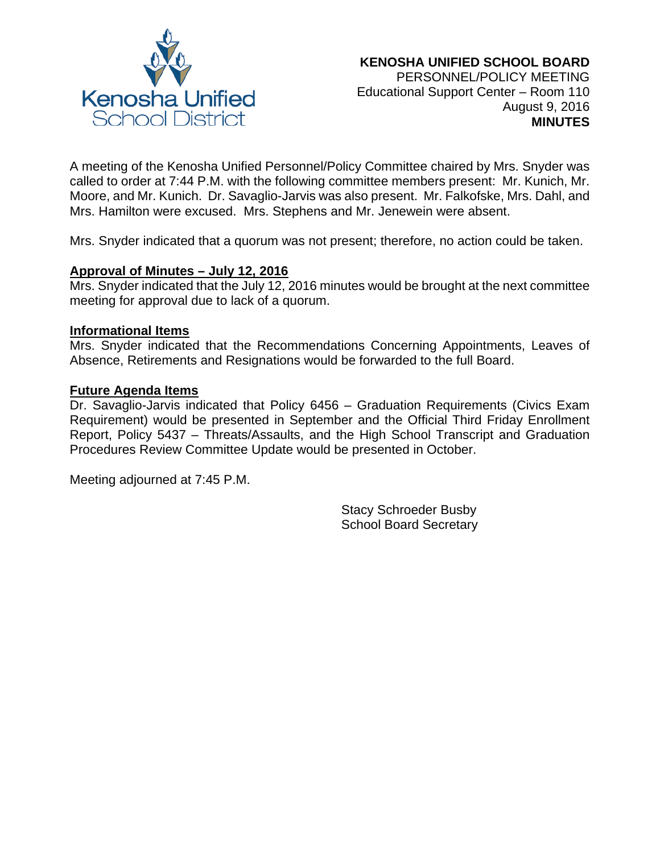

A meeting of the Kenosha Unified Personnel/Policy Committee chaired by Mrs. Snyder was called to order at 7:44 P.M. with the following committee members present: Mr. Kunich, Mr. Moore, and Mr. Kunich. Dr. Savaglio-Jarvis was also present. Mr. Falkofske, Mrs. Dahl, and Mrs. Hamilton were excused. Mrs. Stephens and Mr. Jenewein were absent.

Mrs. Snyder indicated that a quorum was not present; therefore, no action could be taken.

### **Approval of Minutes – July 12, 2016**

Mrs. Snyder indicated that the July 12, 2016 minutes would be brought at the next committee meeting for approval due to lack of a quorum.

#### **Informational Items**

Mrs. Snyder indicated that the Recommendations Concerning Appointments, Leaves of Absence, Retirements and Resignations would be forwarded to the full Board.

#### **Future Agenda Items**

Dr. Savaglio-Jarvis indicated that Policy 6456 – Graduation Requirements (Civics Exam Requirement) would be presented in September and the Official Third Friday Enrollment Report, Policy 5437 – Threats/Assaults, and the High School Transcript and Graduation Procedures Review Committee Update would be presented in October.

Meeting adjourned at 7:45 P.M.